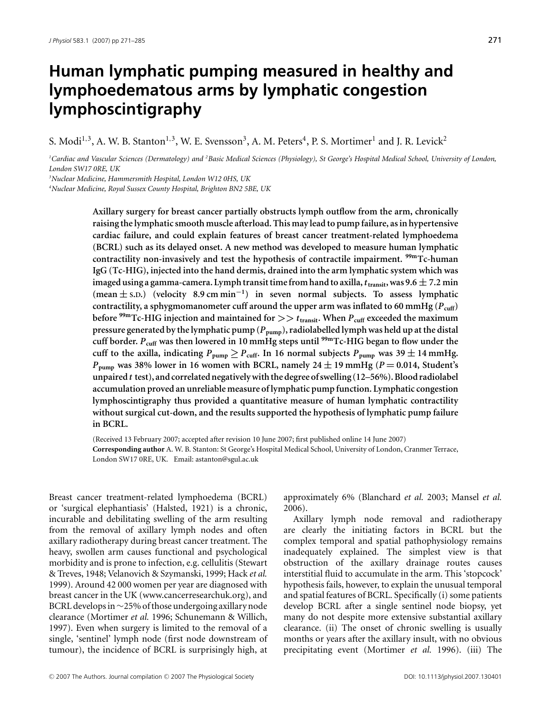# **Human lymphatic pumping measured in healthy and lymphoedematous arms by lymphatic congestion lymphoscintigraphy**

S. Modi<sup>1,3</sup>, A. W. B. Stanton<sup>1,3</sup>, W. E. Svensson<sup>3</sup>, A. M. Peters<sup>4</sup>, P. S. Mortimer<sup>1</sup> and J. R. Levick<sup>2</sup>

*1 Cardiac and Vascular Sciences (Dermatology) and <sup>2</sup> Basic Medical Sciences (Physiology), St George's Hospital Medical School, University of London, London SW17 0RE, UK*

*3 Nuclear Medicine, Hammersmith Hospital, London W12 0HS, UK*

*4 Nuclear Medicine, Royal Sussex County Hospital, Brighton BN2 5BE, UK*

**Axillary surgery for breast cancer partially obstructs lymph outflow from the arm, chronically raising the lymphatic smooth muscle afterload. This may lead to pump failure, as in hypertensive cardiac failure, and could explain features of breast cancer treatment-related lymphoedema (BCRL) such as its delayed onset. A new method was developed to measure human lymphatic contractility non-invasively and test the hypothesis of contractile impairment. 99mTc-human IgG (Tc-HIG), injected into the hand dermis, drained into the arm lymphatic system which was imaged using a gamma-camera. Lymph transit time from hand to axilla,***t***transit, was 9.6** *±* **7.2 min (mean** *±* **S.D.) (velocity 8.9 cm min***<sup>−</sup>***<sup>1</sup>) in seven normal subjects. To assess lymphatic** contractility, a sphygmomanometer cuff around the upper arm was inflated to 60 mmHg  $(P_{\text{cuff}})$ **before 99mTc-HIG injection and maintained for** *>> t***transit. When** *P***cuff exceeded the maximum pressure generated by the lymphatic pump (***P***pump), radiolabelled lymph was held up at the distal cuff border.** *P***cuff was then lowered in 10 mmHg steps until 99mTc-HIG began to flow under the** cuff to the axilla, indicating  $P_{\text{pump}} \geq P_{\text{cuff}}$ . In 16 normal subjects  $P_{\text{pump}}$  was 39  $\pm$  14 mmHg.  $P_{\text{pump}}$  was 38% lower in 16 women with BCRL, namely 24  $\pm$  19 mmHg ( $P = 0.014$ , Student's **unpaired***t* **test), and correlated negatively with the degree of swelling (12–56%). Blood radiolabel accumulation proved an unreliable measure of lymphatic pump function. Lymphatic congestion lymphoscintigraphy thus provided a quantitative measure of human lymphatic contractility without surgical cut-down, and the results supported the hypothesis of lymphatic pump failure in BCRL.**

(Received 13 February 2007; accepted after revision 10 June 2007; first published online 14 June 2007) **Corresponding author** A. W. B. Stanton: St George's Hospital Medical School, University of London, Cranmer Terrace, London SW17 0RE, UK. Email: astanton@sgul.ac.uk

Breast cancer treatment-related lymphoedema (BCRL) or 'surgical elephantiasis' (Halsted, 1921) is a chronic, incurable and debilitating swelling of the arm resulting from the removal of axillary lymph nodes and often axillary radiotherapy during breast cancer treatment. The heavy, swollen arm causes functional and psychological morbidity and is prone to infection, e.g. cellulitis (Stewart & Treves, 1948; Velanovich & Szymanski, 1999; Hack *et al.* 1999). Around 42 000 women per year are diagnosed with breast cancer in the UK (www.cancerresearchuk.org), and BCRL develops in∼25% of those undergoing axillary node clearance (Mortimer *et al.* 1996; Schunemann & Willich, 1997). Even when surgery is limited to the removal of a single, 'sentinel' lymph node (first node downstream of tumour), the incidence of BCRL is surprisingly high, at approximately 6% (Blanchard *et al.* 2003; Mansel *et al.* 2006).

Axillary lymph node removal and radiotherapy are clearly the initiating factors in BCRL but the complex temporal and spatial pathophysiology remains inadequately explained. The simplest view is that obstruction of the axillary drainage routes causes interstitial fluid to accumulate in the arm. This 'stopcock' hypothesis fails, however, to explain the unusual temporal and spatial features of BCRL. Specifically (i) some patients develop BCRL after a single sentinel node biopsy, yet many do not despite more extensive substantial axillary clearance. (ii) The onset of chronic swelling is usually months or years after the axillary insult, with no obvious precipitating event (Mortimer *et al.* 1996). (iii) The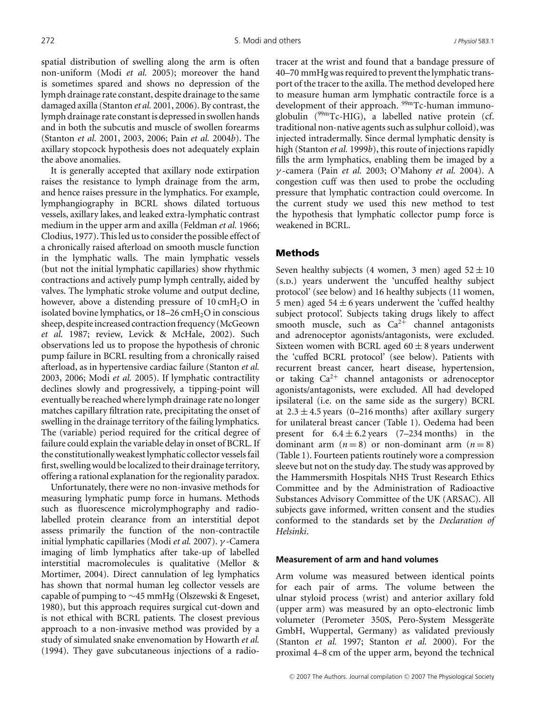spatial distribution of swelling along the arm is often non-uniform (Modi *et al.* 2005); moreover the hand is sometimes spared and shows no depression of the lymph drainage rate constant, despite drainage to the same damaged axilla (Stanton *et al.* 2001, 2006). By contrast, the lymph drainage rate constant is depressed in swollen hands and in both the subcutis and muscle of swollen forearms (Stanton *et al.* 2001, 2003, 2006; Pain *et al.* 2004*b*). The axillary stopcock hypothesis does not adequately explain the above anomalies.

It is generally accepted that axillary node extirpation raises the resistance to lymph drainage from the arm, and hence raises pressure in the lymphatics. For example, lymphangiography in BCRL shows dilated tortuous vessels, axillary lakes, and leaked extra-lymphatic contrast medium in the upper arm and axilla (Feldman *et al.* 1966; Clodius, 1977). This led us to consider the possible effect of a chronically raised afterload on smooth muscle function in the lymphatic walls. The main lymphatic vessels (but not the initial lymphatic capillaries) show rhythmic contractions and actively pump lymph centrally, aided by valves. The lymphatic stroke volume and output decline, however, above a distending pressure of  $10 \text{ cm}H_2O$  in isolated bovine lymphatics, or  $18-26$  cmH<sub>2</sub>O in conscious sheep, despite increased contraction frequency (McGeown *et al.* 1987; review, Levick & McHale, 2002). Such observations led us to propose the hypothesis of chronic pump failure in BCRL resulting from a chronically raised afterload, as in hypertensive cardiac failure (Stanton *et al.* 2003, 2006; Modi *et al.* 2005). If lymphatic contractility declines slowly and progressively, a tipping-point will eventually be reached where lymph drainage rate no longer matches capillary filtration rate, precipitating the onset of swelling in the drainage territory of the failing lymphatics. The (variable) period required for the critical degree of failure could explain the variable delay in onset of BCRL. If the constitutionally weakest lymphatic collector vessels fail first, swelling would be localized to their drainage territory, offering a rational explanation for the regionality paradox.

Unfortunately, there were no non-invasive methods for measuring lymphatic pump force in humans. Methods such as fluorescence microlymphography and radiolabelled protein clearance from an interstitial depot assess primarily the function of the non-contractile initial lymphatic capillaries (Modi *et al.* 2007). γ -Camera imaging of limb lymphatics after take-up of labelled interstitial macromolecules is qualitative (Mellor & Mortimer, 2004). Direct cannulation of leg lymphatics has shown that normal human leg collector vessels are capable of pumping to ∼45 mmHg (Olszewski & Engeset, 1980), but this approach requires surgical cut-down and is not ethical with BCRL patients. The closest previous approach to a non-invasive method was provided by a study of simulated snake envenomation by Howarth *et al.* (1994). They gave subcutaneous injections of a radiotracer at the wrist and found that a bandage pressure of 40–70 mmHg was required to prevent the lymphatic transport of the tracer to the axilla. The method developed here to measure human arm lymphatic contractile force is a development of their approach. <sup>99m</sup>Tc-human immunoglobulin (99mTc-HIG), a labelled native protein (cf. traditional non-native agents such as sulphur colloid), was injected intradermally. Since dermal lymphatic density is high (Stanton *et al.* 1999*b*), this route of injections rapidly fills the arm lymphatics, enabling them be imaged by a γ -camera (Pain *et al.* 2003; O'Mahony *et al.* 2004). A congestion cuff was then used to probe the occluding pressure that lymphatic contraction could overcome. In the current study we used this new method to test the hypothesis that lymphatic collector pump force is weakened in BCRL.

## Methods

Seven healthy subjects (4 women, 3 men) aged  $52 \pm 10$ (s.p.) years underwent the 'uncuffed healthy subject protocol' (see below) and 16 healthy subjects (11 women, 5 men) aged  $54 \pm 6$  years underwent the 'cuffed healthy subject protocol'. Subjects taking drugs likely to affect smooth muscle, such as  $Ca^{2+}$  channel antagonists and adrenoceptor agonists/antagonists, were excluded. Sixteen women with BCRL aged  $60 \pm 8$  years underwent the 'cuffed BCRL protocol' (see below). Patients with recurrent breast cancer, heart disease, hypertension, or taking  $Ca^{2+}$  channel antagonists or adrenoceptor agonists/antagonists, were excluded. All had developed ipsilateral (i.e. on the same side as the surgery) BCRL at  $2.3 \pm 4.5$  years (0–216 months) after axillary surgery for unilateral breast cancer (Table 1). Oedema had been present for  $6.4 \pm 6.2$  years  $(7-234$  months) in the dominant arm  $(n=8)$  or non-dominant arm  $(n=8)$ (Table 1). Fourteen patients routinely wore a compression sleeve but not on the study day. The study was approved by the Hammersmith Hospitals NHS Trust Research Ethics Committee and by the Administration of Radioactive Substances Advisory Committee of the UK (ARSAC). All subjects gave informed, written consent and the studies conformed to the standards set by the *Declaration of Helsinki*.

## **Measurement of arm and hand volumes**

Arm volume was measured between identical points for each pair of arms. The volume between the ulnar styloid process (wrist) and anterior axillary fold (upper arm) was measured by an opto-electronic limb volumeter (Perometer 350S, Pero-System Messgeräte GmbH, Wuppertal, Germany) as validated previously (Stanton *et al.* 1997; Stanton *et al.* 2000). For the proximal 4–8 cm of the upper arm, beyond the technical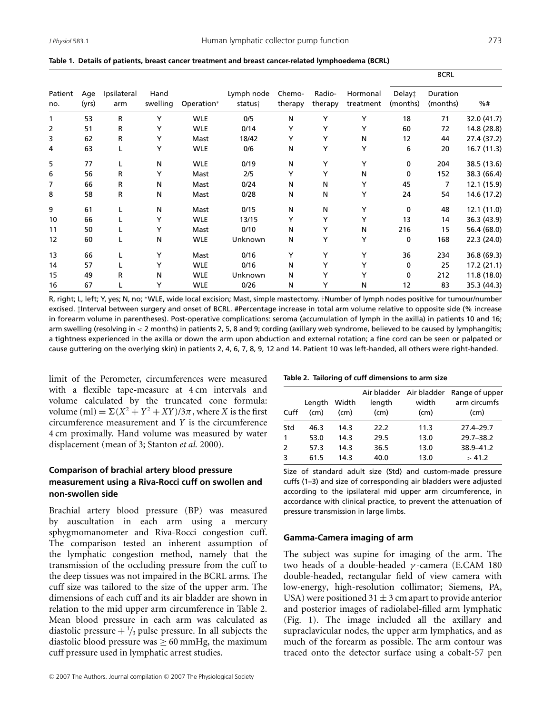| Patient<br>no. | Age<br>(yrs) | Ipsilateral<br>arm | Hand<br>swelling | Operation* | Lymph node<br>status† | Chemo-<br>therapy | Radio-<br>therapy | Hormonal<br>treatment | <b>BLKL</b>        |                      |             |
|----------------|--------------|--------------------|------------------|------------|-----------------------|-------------------|-------------------|-----------------------|--------------------|----------------------|-------------|
|                |              |                    |                  |            |                       |                   |                   |                       | Delay‡<br>(months) | Duration<br>(months) | %#          |
| 1              | 53           | R                  | Y                | <b>WLE</b> | 0/5                   | N                 | Y                 | Y                     | 18                 | 71                   | 32.0 (41.7) |
| 2              | 51           | R                  | Υ                | <b>WLE</b> | 0/14                  | Y                 | Y                 | Y                     | 60                 | 72                   | 14.8 (28.8) |
| 3              | 62           | R                  | Y                | Mast       | 18/42                 | Y                 | Y                 | N                     | 12                 | 44                   | 27.4 (37.2) |
| 4              | 63           |                    | Υ                | <b>WLE</b> | 0/6                   | N                 | Y                 | Y                     | 6                  | 20                   | 16.7 (11.3) |
| 5              | 77           |                    | N                | <b>WLE</b> | 0/19                  | N                 | Y                 | Y                     | 0                  | 204                  | 38.5 (13.6) |
| 6              | 56           | R                  | Υ                | Mast       | 2/5                   | Y                 | Y                 | N                     | $\mathbf{0}$       | 152                  | 38.3 (66.4) |
| 7              | 66           | R                  | N                | Mast       | 0/24                  | N                 | N                 | Y                     | 45                 | 7                    | 12.1 (15.9) |
| 8              | 58           | R                  | N                | Mast       | 0/28                  | N                 | N                 | Υ                     | 24                 | 54                   | 14.6 (17.2) |
| 9              | 61           |                    | N                | Mast       | 0/15                  | N                 | N                 | Y                     | $\mathbf{0}$       | 48                   | 12.1 (11.0) |
| 10             | 66           |                    | Υ                | <b>WLE</b> | 13/15                 | Y                 | Y                 | Y                     | 13                 | 14                   | 36.3 (43.9) |
| 11             | 50           |                    | Y                | Mast       | 0/10                  | N                 | Y                 | N                     | 216                | 15                   | 56.4 (68.0) |
| 12             | 60           |                    | Ν                | <b>WLE</b> | Unknown               | N                 | Y                 | Y                     | 0                  | 168                  | 22.3 (24.0) |
| 13             | 66           |                    | Y                | Mast       | 0/16                  | Y                 | Y                 | Υ                     | 36                 | 234                  | 36.8 (69.3) |
| 14             | 57           |                    | Y                | <b>WLE</b> | 0/16                  | N                 | Y                 | Y                     | 0                  | 25                   | 17.2 (21.1) |
| 15             | 49           | R                  | Ν                | <b>WLE</b> | Unknown               | N                 | Y                 | Y                     | 0                  | 212                  | 11.8 (18.0) |
| 16             | 67           |                    | Υ                | <b>WLE</b> | 0/26                  | N                 | Y                 | N                     | 12                 | 83                   | 35.3 (44.3) |

**Table 1. Details of patients, breast cancer treatment and breast cancer-related lymphoedema (BCRL)**

R, right; L, left; Y, yes; N, no; \*WLE, wide local excision; Mast, simple mastectomy. †Number of lymph nodes positive for tumour/number excised. ‡Interval between surgery and onset of BCRL. #Percentage increase in total arm volume relative to opposite side (% increase in forearm volume in parentheses). Post-operative complications: seroma (accumulation of lymph in the axilla) in patients 10 and 16; arm swelling (resolving in < 2 months) in patients 2, 5, 8 and 9; cording (axillary web syndrome, believed to be caused by lymphangitis; a tightness experienced in the axilla or down the arm upon abduction and external rotation; a fine cord can be seen or palpated or cause guttering on the overlying skin) in patients 2, 4, 6, 7, 8, 9, 12 and 14. Patient 10 was left-handed, all others were right-handed.

limit of the Perometer, circumferences were measured with a flexible tape-measure at 4 cm intervals and volume calculated by the truncated cone formula: volume (ml) =  $\Sigma(X^2 + Y^2 + XY)/3\pi$ , where *X* is the first circumference measurement and *Y* is the circumference 4 cm proximally. Hand volume was measured by water displacement (mean of 3; Stanton *et al.* 2000).

# **Comparison of brachial artery blood pressure measurement using a Riva-Rocci cuff on swollen and non-swollen side**

Brachial artery blood pressure (BP) was measured by auscultation in each arm using a mercury sphygmomanometer and Riva-Rocci congestion cuff. The comparison tested an inherent assumption of the lymphatic congestion method, namely that the transmission of the occluding pressure from the cuff to the deep tissues was not impaired in the BCRL arms. The cuff size was tailored to the size of the upper arm. The dimensions of each cuff and its air bladder are shown in relation to the mid upper arm circumference in Table 2. Mean blood pressure in each arm was calculated as diastolic pressure  $+\frac{1}{3}$  pulse pressure. In all subjects the diastolic blood pressure was  $\geq 60$  mmHg, the maximum cuff pressure used in lymphatic arrest studies.

|  | Table 2. Tailoring of cuff dimensions to arm size |  |
|--|---------------------------------------------------|--|
|  |                                                   |  |

|               |              |       |        | Air bladder Air bladder | Range of upper |
|---------------|--------------|-------|--------|-------------------------|----------------|
|               | Length       | Width | length | width                   | arm circumfs   |
| Cuff          | $\pmb{(cm)}$ | (cm)  | (cm)   | (cm)                    | (cm)           |
| Std           | 46.3         | 14.3  | 22.2   | 11.3                    | $27.4 - 29.7$  |
| 1             | 53.0         | 14.3  | 29.5   | 13.0                    | $29.7 - 38.2$  |
| $\mathcal{L}$ | 57.3         | 14.3  | 36.5   | 13.0                    | 38.9-41.2      |
| з             | 61.5         | 14.3  | 40.0   | 13.0                    | > 41.2         |

Size of standard adult size (Std) and custom-made pressure cuffs (1–3) and size of corresponding air bladders were adjusted according to the ipsilateral mid upper arm circumference, in accordance with clinical practice, to prevent the attenuation of pressure transmission in large limbs.

### **Gamma-Camera imaging of arm**

The subject was supine for imaging of the arm. The two heads of a double-headed γ -camera (E.CAM 180 double-headed, rectangular field of view camera with low-energy, high-resolution collimator; Siemens, PA, USA) were positioned  $31 \pm 3$  cm apart to provide anterior and posterior images of radiolabel-filled arm lymphatic (Fig. 1). The image included all the axillary and supraclavicular nodes, the upper arm lymphatics, and as much of the forearm as possible. The arm contour was traced onto the detector surface using a cobalt-57 pen

B<sub>CRL</sub>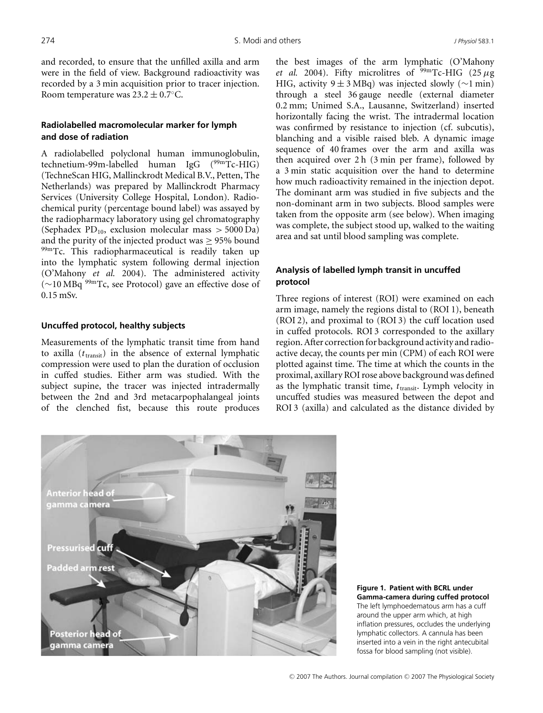and recorded, to ensure that the unfilled axilla and arm were in the field of view. Background radioactivity was recorded by a 3 min acquisition prior to tracer injection. Room temperature was  $23.2 \pm 0.7$ °C.

# **Radiolabelled macromolecular marker for lymph and dose of radiation**

A radiolabelled polyclonal human immunoglobulin, technetium-99m-labelled human IgG (<sup>99m</sup>Tc-HIG) (TechneScan HIG, Mallinckrodt Medical B.V., Petten, The Netherlands) was prepared by Mallinckrodt Pharmacy Services (University College Hospital, London). Radiochemical purity (percentage bound label) was assayed by the radiopharmacy laboratory using gel chromatography (Sephadex  $PD_{10}$ , exclusion molecular mass  $> 5000$  Da) and the purity of the injected product was ≥ 95% bound 99mTc. This radiopharmaceutical is readily taken up into the lymphatic system following dermal injection (O'Mahony *et al.* 2004). The administered activity (∼10 MBq 99mTc, see Protocol) gave an effective dose of 0.15 mSv.

## **Uncuffed protocol, healthy subjects**

Measurements of the lymphatic transit time from hand to axilla  $(t<sub>transit</sub>)$  in the absence of external lymphatic compression were used to plan the duration of occlusion in cuffed studies. Either arm was studied. With the subject supine, the tracer was injected intradermally between the 2nd and 3rd metacarpophalangeal joints of the clenched fist, because this route produces the best images of the arm lymphatic (O'Mahony *et al.* 2004). Fifty microlitres of  $\frac{99 \text{ m}}{\text{c}}$ -HIG (25  $\mu$ g HIG, activity 9  $\pm$  3 MBq) was injected slowly ( $\sim$ 1 min) through a steel 36 gauge needle (external diameter 0.2 mm; Unimed S.A., Lausanne, Switzerland) inserted horizontally facing the wrist. The intradermal location was confirmed by resistance to injection (cf. subcutis), blanching and a visible raised bleb. A dynamic image sequence of 40 frames over the arm and axilla was then acquired over 2 h (3 min per frame), followed by a 3 min static acquisition over the hand to determine how much radioactivity remained in the injection depot. The dominant arm was studied in five subjects and the non-dominant arm in two subjects. Blood samples were taken from the opposite arm (see below). When imaging was complete, the subject stood up, walked to the waiting area and sat until blood sampling was complete.

# **Analysis of labelled lymph transit in uncuffed protocol**

Three regions of interest (ROI) were examined on each arm image, namely the regions distal to (ROI 1), beneath (ROI 2), and proximal to (ROI 3) the cuff location used in cuffed protocols. ROI 3 corresponded to the axillary region. After correction for background activity and radioactive decay, the counts per min (CPM) of each ROI were plotted against time. The time at which the counts in the proximal, axillary ROI rose above background was defined as the lymphatic transit time, *t*transit. Lymph velocity in uncuffed studies was measured between the depot and ROI 3 (axilla) and calculated as the distance divided by



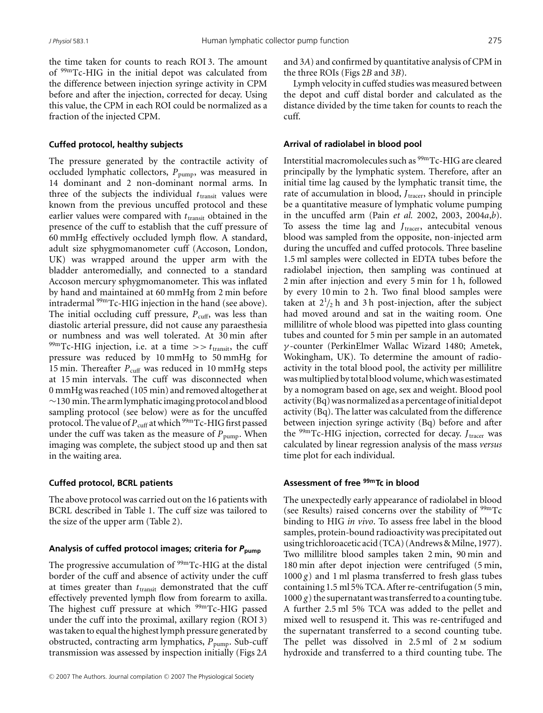the time taken for counts to reach ROI 3. The amount of 99mTc-HIG in the initial depot was calculated from the difference between injection syringe activity in CPM before and after the injection, corrected for decay. Using this value, the CPM in each ROI could be normalized as a fraction of the injected CPM.

## **Cuffed protocol, healthy subjects**

The pressure generated by the contractile activity of occluded lymphatic collectors,  $P_{\text{pump}}$ , was measured in 14 dominant and 2 non-dominant normal arms. In three of the subjects the individual  $t_{\text{transit}}$  values were known from the previous uncuffed protocol and these earlier values were compared with  $t_{\text{transit}}$  obtained in the presence of the cuff to establish that the cuff pressure of 60 mmHg effectively occluded lymph flow. A standard, adult size sphygmomanometer cuff (Accoson, London, UK) was wrapped around the upper arm with the bladder anteromedially, and connected to a standard Accoson mercury sphygmomanometer. This was inflated by hand and maintained at 60 mmHg from 2 min before intradermal 99mTc-HIG injection in the hand (see above). The initial occluding cuff pressure,  $P_{\text{cuff}}$ , was less than diastolic arterial pressure, did not cause any paraesthesia or numbness and was well tolerated. At 30 min after  $^{99m}$ Tc-HIG injection, i.e. at a time  $\gg t$ <sub>transit</sub>, the cuff pressure was reduced by 10 mmHg to 50 mmHg for 15 min. Thereafter  $P_{\text{cuff}}$  was reduced in 10 mmHg steps at 15 min intervals. The cuff was disconnected when 0 mmHg was reached (105 min) and removed altogether at ∼130 min. The arm lymphatic imaging protocol and blood sampling protocol (see below) were as for the uncuffed protocol. The value of  $P_{\text{cuff}}$  at which <sup>99m</sup>Tc-HIG first passed under the cuff was taken as the measure of  $P_{\text{pump}}$ . When imaging was complete, the subject stood up and then sat in the waiting area.

#### **Cuffed protocol, BCRL patients**

The above protocol was carried out on the 16 patients with BCRL described in Table 1. The cuff size was tailored to the size of the upper arm (Table 2).

## **Analysis of cuffed protocol images; criteria for** *P***pump**

The progressive accumulation of  $99mTc-HIG$  at the distal border of the cuff and absence of activity under the cuff at times greater than  $t_{\text{transit}}$  demonstrated that the cuff effectively prevented lymph flow from forearm to axilla. The highest cuff pressure at which <sup>99m</sup>Tc-HIG passed under the cuff into the proximal, axillary region (ROI 3) was taken to equal the highest lymph pressure generated by obstructed, contracting arm lymphatics,  $P_{\text{pump}}$ . Sub-cuff transmission was assessed by inspection initially (Figs 2*A*

and 3*A*) and confirmed by quantitative analysis of CPM in the three ROIs (Figs 2*B* and 3*B*).

Lymph velocity in cuffed studies was measured between the depot and cuff distal border and calculated as the distance divided by the time taken for counts to reach the cuff.

#### **Arrival of radiolabel in blood pool**

Interstitial macromolecules such as <sup>99m</sup>Tc-HIG are cleared principally by the lymphatic system. Therefore, after an initial time lag caused by the lymphatic transit time, the rate of accumulation in blood, *J*<sub>tracer</sub>, should in principle be a quantitative measure of lymphatic volume pumping in the uncuffed arm (Pain *et al.* 2002, 2003, 2004*a*,*b*). To assess the time lag and *J<sub>tracer</sub>*, antecubital venous blood was sampled from the opposite, non-injected arm during the uncuffed and cuffed protocols. Three baseline 1.5 ml samples were collected in EDTA tubes before the radiolabel injection, then sampling was continued at 2 min after injection and every 5 min for 1 h, followed by every 10 min to 2 h. Two final blood samples were taken at  $2^{1}/_{2}$  h and 3 h post-injection, after the subject had moved around and sat in the waiting room. One millilitre of whole blood was pipetted into glass counting tubes and counted for 5 min per sample in an automated γ -counter (PerkinElmer Wallac Wizard 1480; Ametek, Wokingham, UK). To determine the amount of radioactivity in the total blood pool, the activity per millilitre was multiplied by total blood volume, which was estimated by a nomogram based on age, sex and weight. Blood pool activity (Bq) was normalized as a percentage of initial depot activity (Bq). The latter was calculated from the difference between injection syringe activity (Bq) before and after the <sup>99m</sup>Tc-HIG injection, corrected for decay. *J*<sub>tracer</sub> was calculated by linear regression analysis of the mass *versus* time plot for each individual.

## **Assessment of free 99mTc in blood**

The unexpectedly early appearance of radiolabel in blood (see Results) raised concerns over the stability of  $99m$ Tc binding to HIG *in vivo*. To assess free label in the blood samples, protein-bound radioactivity was precipitated out using trichloroacetic acid (TCA) (Andrews & Milne, 1977). Two millilitre blood samples taken 2 min, 90 min and 180 min after depot injection were centrifuged (5 min,  $1000 g$ ) and 1 ml plasma transferred to fresh glass tubes containing 1.5 ml 5% TCA. After re-centrifugation (5 min,  $1000 g$ ) the supernatant was transferred to a counting tube. A further 2.5 ml 5% TCA was added to the pellet and mixed well to resuspend it. This was re-centrifuged and the supernatant transferred to a second counting tube. The pellet was dissolved in 2.5 ml of 2 M sodium hydroxide and transferred to a third counting tube. The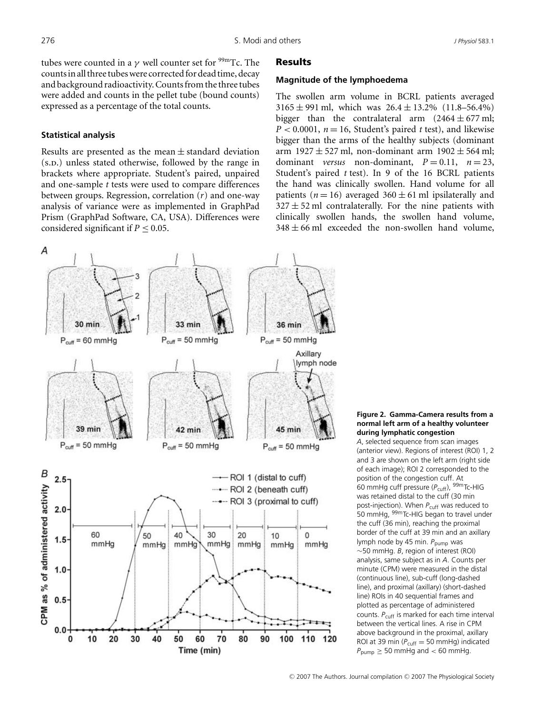tubes were counted in a  $\gamma$  well counter set for <sup>99m</sup>Tc. The counts in all three tubes were corrected for dead time, decay and background radioactivity. Counts from the three tubes were added and counts in the pellet tube (bound counts) expressed as a percentage of the total counts.

## **Statistical analysis**

Results are presented as the mean  $\pm$  standard deviation (s.p.) unless stated otherwise, followed by the range in brackets where appropriate. Student's paired, unpaired and one-sample *t* tests were used to compare differences between groups. Regression, correlation (*r*) and one-way analysis of variance were as implemented in GraphPad Prism (GraphPad Software, CA, USA). Differences were considered significant if  $P \leq 0.05$ .

#### Results

#### **Magnitude of the lymphoedema**

The swollen arm volume in BCRL patients averaged  $3165 \pm 991$  ml, which was  $26.4 \pm 13.2\%$  (11.8–56.4%) bigger than the contralateral arm  $(2464 \pm 677 \text{ ml})$ ;  $P < 0.0001$ ,  $n = 16$ , Student's paired *t* test), and likewise bigger than the arms of the healthy subjects (dominant arm 1927  $\pm$  527 ml, non-dominant arm 1902  $\pm$  564 ml; dominant *versus* non-dominant,  $P = 0.11$ ,  $n = 23$ , Student's paired *t* test). In 9 of the 16 BCRL patients the hand was clinically swollen. Hand volume for all patients ( $n = 16$ ) averaged  $360 \pm 61$  ml ipsilaterally and  $327 \pm 52$  ml contralaterally. For the nine patients with clinically swollen hands, the swollen hand volume,  $348 \pm 66$  ml exceeded the non-swollen hand volume,



**Figure 2. Gamma-Camera results from a normal left arm of a healthy volunteer during lymphatic congestion**

*A*, selected sequence from scan images (anterior view). Regions of interest (ROI) 1, 2 and 3 are shown on the left arm (right side of each image); ROI 2 corresponded to the position of the congestion cuff. At 60 mmHg cuff pressure ( $P_{\text{cuff}}$ ), <sup>99m</sup>Tc-HIG was retained distal to the cuff (30 min post-injection). When  $P_{\text{cuff}}$  was reduced to 50 mmHg, <sup>99m</sup>Tc-HIG began to travel under the cuff (36 min), reaching the proximal border of the cuff at 39 min and an axillary lymph node by 45 min. P<sub>pump</sub> was ∼50 mmHg. *B*, region of interest (ROI) analysis, same subject as in *A*. Counts per minute (CPM) were measured in the distal (continuous line), sub-cuff (long-dashed line), and proximal (axillary) (short-dashed line) ROIs in 40 sequential frames and plotted as percentage of administered counts. P<sub>cuff</sub> is marked for each time interval between the vertical lines. A rise in CPM above background in the proximal, axillary ROI at 39 min ( $P_{\text{cuff}} = 50$  mmHg) indicated  $P_{\text{pump}} \geq 50$  mmHg and < 60 mmHg.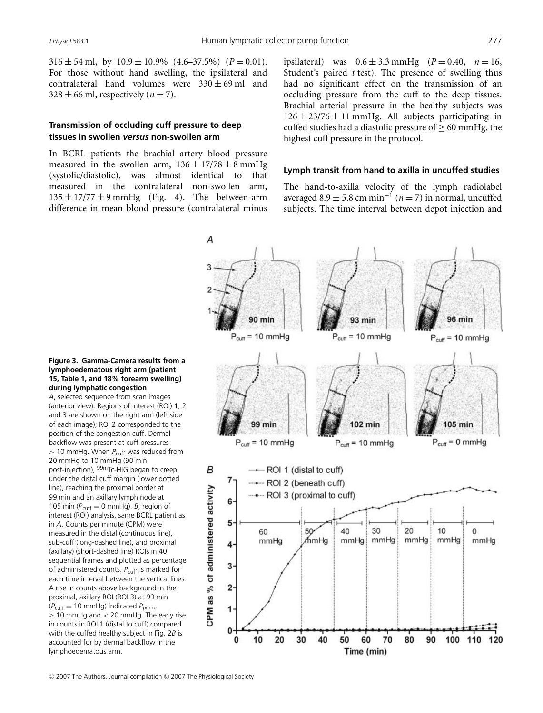$316 \pm 54$  ml, by  $10.9 \pm 10.9\%$   $(4.6-37.5\%)$   $(P=0.01)$ . For those without hand swelling, the ipsilateral and contralateral hand volumes were  $330 \pm 69$  ml and  $328 \pm 66$  ml, respectively ( $n = 7$ ).

# **Transmission of occluding cuff pressure to deep tissues in swollen** *versus* **non-swollen arm**

In BCRL patients the brachial artery blood pressure measured in the swollen arm,  $136 \pm 17/78 \pm 8$  mmHg (systolic/diastolic), was almost identical to that measured in the contralateral non-swollen arm,  $135 \pm 17/77 \pm 9$  mmHg (Fig. 4). The between-arm difference in mean blood pressure (contralateral minus

ipsilateral) was  $0.6 \pm 3.3$  mmHg ( $P = 0.40$ ,  $n = 16$ , Student's paired *t* test). The presence of swelling thus had no significant effect on the transmission of an occluding pressure from the cuff to the deep tissues. Brachial arterial pressure in the healthy subjects was  $126 \pm 23/76 \pm 11$  mmHg. All subjects participating in cuffed studies had a diastolic pressure of  $> 60$  mmHg, the highest cuff pressure in the protocol.

### **Lymph transit from hand to axilla in uncuffed studies**

The hand-to-axilla velocity of the lymph radiolabel averaged  $8.9 \pm 5.8$  cm min<sup>-1</sup> (*n* = 7) in normal, uncuffed subjects. The time interval between depot injection and



#### **Figure 3. Gamma-Camera results from a lymphoedematous right arm (patient 15, Table 1, and 18% forearm swelling) during lymphatic congestion**

*A*, selected sequence from scan images (anterior view). Regions of interest (ROI) 1, 2 and 3 are shown on the right arm (left side of each image); ROI 2 corresponded to the position of the congestion cuff. Dermal backflow was present at cuff pressures > 10 mmHg. When  $P_{\text{cuff}}$  was reduced from 20 mmHg to 10 mmHg (90 min post-injection), 99mTc-HIG began to creep under the distal cuff margin (lower dotted line), reaching the proximal border at 99 min and an axillary lymph node at 105 min  $(P_{\text{cuff}} = 0 \text{ mmHq})$ . *B*, region of interest (ROI) analysis, same BCRL patient as in *A*. Counts per minute (CPM) were measured in the distal (continuous line), sub-cuff (long-dashed line), and proximal (axillary) (short-dashed line) ROIs in 40 sequential frames and plotted as percentage of administered counts. P<sub>cuff</sub> is marked for each time interval between the vertical lines. A rise in counts above background in the proximal, axillary ROI (ROI 3) at 99 min (*P*cuff = 10 mmHg) indicated *P*pump  $\geq$  10 mmHg and < 20 mmHg. The early rise in counts in ROI 1 (distal to cuff) compared with the cuffed healthy subject in Fig. 2*B* is accounted for by dermal backflow in the lymphoedematous arm.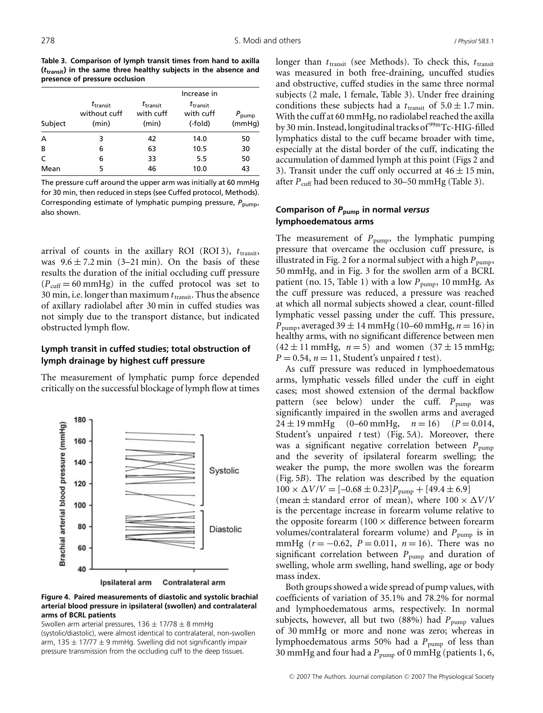**Table 3. Comparison of lymph transit times from hand to axilla (***t***transit) in the same three healthy subjects in the absence and presence of pressure occlusion**

| Subject | $t_{\sf transit}$<br>without cuff<br>(min) | $t_{\mathsf{transit}}$<br>with cuff<br>(min) | Increase in<br>$t_{\mathsf{transit}}$<br>with cuff<br>(-fold) | $P_{\text{pump}}$<br>(mmHq) |
|---------|--------------------------------------------|----------------------------------------------|---------------------------------------------------------------|-----------------------------|
| A       | 3                                          | 42                                           | 14.0                                                          | 50                          |
| B       | 6                                          | 63                                           | 10.5                                                          | 30                          |
| C       | 6                                          | 33                                           | 5.5                                                           | 50                          |
| Mean    | 5                                          | 46                                           | 10.0                                                          | 43                          |

The pressure cuff around the upper arm was initially at 60 mmHg for 30 min, then reduced in steps (see Cuffed protocol, Methods). Corresponding estimate of lymphatic pumping pressure,  $P_{\text{pump}}$ , also shown.

arrival of counts in the axillary ROI (ROI 3),  $t_{\text{transit}}$ , was  $9.6 \pm 7.2$  min (3–21 min). On the basis of these results the duration of the initial occluding cuff pressure  $(P_{\text{cuff}} = 60 \text{ mmHg})$  in the cuffed protocol was set to 30 min, i.e. longer than maximum  $t_{\text{transit}}$ . Thus the absence of axillary radiolabel after 30 min in cuffed studies was not simply due to the transport distance, but indicated obstructed lymph flow.

# **Lymph transit in cuffed studies; total obstruction of lymph drainage by highest cuff pressure**

The measurement of lymphatic pump force depended critically on the successful blockage of lymph flow at times



**Figure 4. Paired measurements of diastolic and systolic brachial arterial blood pressure in ipsilateral (swollen) and contralateral arms of BCRL patients**

Swollen arm arterial pressures,  $136 \pm 17/78 \pm 8$  mmHg (systolic/diastolic), were almost identical to contralateral, non-swollen arm, 135  $\pm$  17/77  $\pm$  9 mmHg. Swelling did not significantly impair pressure transmission from the occluding cuff to the deep tissues.

longer than  $t_{transit}$  (see Methods). To check this,  $t_{transit}$ was measured in both free-draining, uncuffed studies and obstructive, cuffed studies in the same three normal subjects (2 male, 1 female, Table 3). Under free draining conditions these subjects had a  $t_{\text{transit}}$  of  $5.0 \pm 1.7$  min. With the cuff at 60 mmHg, no radiolabel reached the axilla by 30 min. Instead, longitudinal tracks of 99mTc-HIG-filled lymphatics distal to the cuff became broader with time, especially at the distal border of the cuff, indicating the accumulation of dammed lymph at this point (Figs 2 and 3). Transit under the cuff only occurred at  $46 \pm 15$  min, after  $P_{\text{cnff}}$  had been reduced to 30–50 mmHg (Table 3).

# **Comparison of** *P***pump in normal** *versus* **lymphoedematous arms**

The measurement of  $P_{\text{pump}}$ , the lymphatic pumping pressure that overcame the occlusion cuff pressure, is illustrated in Fig. 2 for a normal subject with a high  $P_{\text{pump}}$ , 50 mmHg, and in Fig. 3 for the swollen arm of a BCRL patient (no. 15, Table 1) with a low  $P_{\text{pump}}$ , 10 mmHg. As the cuff pressure was reduced, a pressure was reached at which all normal subjects showed a clear, count-filled lymphatic vessel passing under the cuff. This pressure, *P*<sub>pump</sub>, averaged 39  $\pm$  14 mmHg (10–60 mmHg, *n* = 16) in healthy arms, with no significant difference between men  $(42 \pm 11 \text{ mmHg}, n = 5)$  and women  $(37 \pm 15 \text{ mmHg})$ ;  $P = 0.54$ ,  $n = 11$ , Student's unpaired *t* test).

As cuff pressure was reduced in lymphoedematous arms, lymphatic vessels filled under the cuff in eight cases; most showed extension of the dermal backflow pattern (see below) under the cuff.  $P_{\text{pump}}$  was significantly impaired in the swollen arms and averaged  $24 \pm 19$  mmHg (0–60 mmHg,  $n = 16$ ) ( $P = 0.014$ , Student's unpaired *t* test) (Fig. 5*A*). Moreover, there was a significant negative correlation between  $P_{\text{pump}}$ and the severity of ipsilateral forearm swelling; the weaker the pump, the more swollen was the forearm (Fig. 5*B*). The relation was described by the equation  $100 \times \Delta V/V = [-0.68 \pm 0.23]P_{\text{pump}} + [49.4 \pm 6.9]$ (mean  $\pm$  standard error of mean), where  $100 \times \Delta V/V$ is the percentage increase in forearm volume relative to the opposite forearm  $(100 \times$  difference between forearm volumes/contralateral forearm volume) and  $P_{\text{pump}}$  is in mmHg ( $r = -0.62$ ,  $P = 0.011$ ,  $n = 16$ ). There was no significant correlation between  $P_{\text{pump}}$  and duration of swelling, whole arm swelling, hand swelling, age or body mass index.

Both groups showed a wide spread of pump values, with coefficients of variation of 35.1% and 78.2% for normal and lymphoedematous arms, respectively. In normal subjects, however, all but two  $(88%)$  had  $P_{\text{pump}}$  values of 30 mmHg or more and none was zero; whereas in lymphoedematous arms 50% had a  $P_{\text{pump}}$  of less than 30 mmHg and four had a *P*pump of 0 mmHg (patients 1, 6,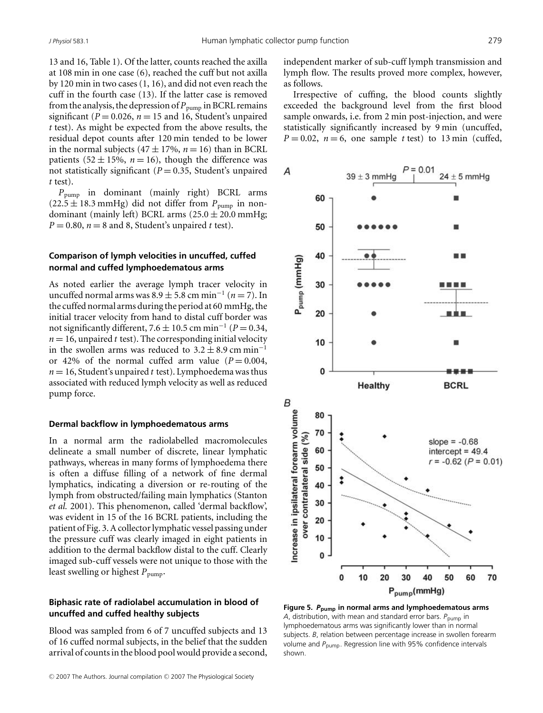13 and 16, Table 1). Of the latter, counts reached the axilla at 108 min in one case (6), reached the cuff but not axilla by 120 min in two cases (1, 16), and did not even reach the cuff in the fourth case (13). If the latter case is removed from the analysis, the depression of  $P_{\text{pump}}$  in BCRL remains significant ( $P = 0.026$ ,  $n = 15$  and 16, Student's unpaired *t* test). As might be expected from the above results, the residual depot counts after 120 min tended to be lower in the normal subjects  $(47 \pm 17\%)$ ,  $n = 16$ ) than in BCRL patients  $(52 \pm 15\%, n = 16)$ , though the difference was not statistically significant  $(P = 0.35,$  Student's unpaired *t* test).

*P*pump in dominant (mainly right) BCRL arms  $(22.5 \pm 18.3 \text{ mmHg})$  did not differ from  $P_{\text{pump}}$  in nondominant (mainly left) BCRL arms  $(25.0 \pm 20.0 \text{ mmHg})$ ;  $P = 0.80$ ,  $n = 8$  and 8, Student's unpaired *t* test).

## **Comparison of lymph velocities in uncuffed, cuffed normal and cuffed lymphoedematous arms**

As noted earlier the average lymph tracer velocity in uncuffed normal arms was 8.9 ± 5.8 cm min<sup>−</sup><sup>1</sup> (*n* = 7). In the cuffed normal arms during the period at 60 mmHg, the initial tracer velocity from hand to distal cuff border was not significantly different,  $7.6 \pm 10.5$  cm min<sup>-1</sup> ( $P = 0.34$ ,  $n = 16$ , unpaired *t* test). The corresponding initial velocity in the swollen arms was reduced to  $3.2 \pm 8.9$  cm min<sup>-1</sup> or 42% of the normal cuffed arm value  $(P = 0.004$ ,  $n = 16$ , Student's unpaired *t* test). Lymphoedema was thus associated with reduced lymph velocity as well as reduced pump force.

#### **Dermal backflow in lymphoedematous arms**

In a normal arm the radiolabelled macromolecules delineate a small number of discrete, linear lymphatic pathways, whereas in many forms of lymphoedema there is often a diffuse filling of a network of fine dermal lymphatics, indicating a diversion or re-routing of the lymph from obstructed/failing main lymphatics (Stanton *et al.* 2001). This phenomenon, called 'dermal backflow', was evident in 15 of the 16 BCRL patients, including the patient of Fig. 3. A collector lymphatic vessel passing under the pressure cuff was clearly imaged in eight patients in addition to the dermal backflow distal to the cuff. Clearly imaged sub-cuff vessels were not unique to those with the least swelling or highest  $P_{\text{pump}}$ .

# **Biphasic rate of radiolabel accumulation in blood of uncuffed and cuffed healthy subjects**

Blood was sampled from 6 of 7 uncuffed subjects and 13 of 16 cuffed normal subjects, in the belief that the sudden arrival of counts in the blood pool would provide a second, independent marker of sub-cuff lymph transmission and lymph flow. The results proved more complex, however, as follows.

Irrespective of cuffing, the blood counts slightly exceeded the background level from the first blood sample onwards, i.e. from 2 min post-injection, and were statistically significantly increased by 9 min (uncuffed,  $P = 0.02$ ,  $n = 6$ , one sample *t* test) to 13 min (cuffed,



**Figure 5.** *P***pump in normal arms and lymphoedematous arms** *A*, distribution, with mean and standard error bars. *P*<sub>pump</sub> in lymphoedematous arms was significantly lower than in normal subjects. *B*, relation between percentage increase in swollen forearm volume and *P*<sub>pump</sub>. Regression line with 95% confidence intervals shown.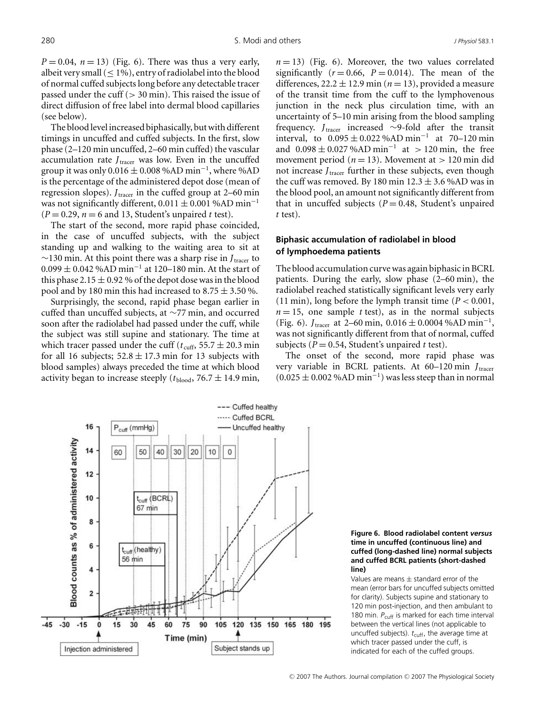$P = 0.04$ ,  $n = 13$ ) (Fig. 6). There was thus a very early, albeit very small  $(< 1\%)$ , entry of radiolabel into the blood of normal cuffed subjects long before any detectable tracer passed under the cuff  $(> 30 \text{ min})$ . This raised the issue of direct diffusion of free label into dermal blood capillaries (see below).

The blood level increased biphasically, but with different timings in uncuffed and cuffed subjects. In the first, slow phase (2–120 min uncuffed, 2–60 min cuffed) the vascular accumulation rate  $J<sub>tracer</sub>$  was low. Even in the uncuffed group it was only  $0.016 \pm 0.008$  %AD min<sup>-1</sup>, where %AD is the percentage of the administered depot dose (mean of regression slopes).  $J_{\text{tracer}}$  in the cuffed group at 2–60 min was not significantly different,  $0.011 \pm 0.001$  %AD min<sup>-1</sup>  $(P = 0.29, n = 6$  and 13, Student's unpaired *t* test).

The start of the second, more rapid phase coincided, in the case of uncuffed subjects, with the subject standing up and walking to the waiting area to sit at ∼130 min. At this point there was a sharp rise in *J*tracer to  $0.099 \pm 0.042$  %AD min<sup>-1</sup> at 120–180 min. At the start of this phase 2.15  $\pm$  0.92 % of the depot dose was in the blood pool and by 180 min this had increased to 8.75  $\pm$  3.50 %.

Surprisingly, the second, rapid phase began earlier in cuffed than uncuffed subjects, at ∼77 min, and occurred soon after the radiolabel had passed under the cuff, while the subject was still supine and stationary. The time at which tracer passed under the cuff ( $t_{\text{cuff}}$ , 55.7  $\pm$  20.3 min for all 16 subjects;  $52.8 \pm 17.3$  min for 13 subjects with blood samples) always preceded the time at which blood activity began to increase steeply ( $t_{\text{blood}}$ , 76.7  $\pm$  14.9 min,  $n = 13$ ) (Fig. 6). Moreover, the two values correlated significantly  $(r=0.66, P=0.014)$ . The mean of the differences,  $22.2 \pm 12.9$  min ( $n = 13$ ), provided a measure of the transit time from the cuff to the lymphovenous junction in the neck plus circulation time, with an uncertainty of 5–10 min arising from the blood sampling frequency. *J*tracer increased ∼9-fold after the transit interval, to  $0.095 \pm 0.022$ %AD min<sup>-1</sup> at 70–120 min and  $0.098 \pm 0.027$ %AD min<sup>-1</sup> at > 120 min, the free movement period ( $n = 13$ ). Movement at  $> 120$  min did not increase *J*<sub>tracer</sub> further in these subjects, even though the cuff was removed. By 180 min  $12.3 \pm 3.6$  %AD was in the blood pool, an amount not significantly different from that in uncuffed subjects  $(P = 0.48,$  Student's unpaired *t* test).

# **Biphasic accumulation of radiolabel in blood of lymphoedema patients**

The blood accumulation curve was again biphasic in BCRL patients. During the early, slow phase (2–60 min), the radiolabel reached statistically significant levels very early (11 min), long before the lymph transit time  $(P < 0.001$ ,  $n = 15$ , one sample *t* test), as in the normal subjects (Fig. 6). *J*<sub>tracer</sub> at 2–60 min,  $0.016 \pm 0.0004$  %AD min<sup>-1</sup>, was not significantly different from that of normal, cuffed subjects ( $P = 0.54$ , Student's unpaired *t* test).

The onset of the second, more rapid phase was very variable in BCRL patients. At 60–120 min *J*tracer  $(0.025 \pm 0.002 \, \%AD \, min^{-1})$  was less steep than in normal

**Figure 6. Blood radiolabel content** *versus* **time in uncuffed (continuous line) and cuffed (long-dashed line) normal subjects and cuffed BCRL patients (short-dashed line)**

Values are means  $\pm$  standard error of the mean (error bars for uncuffed subjects omitted for clarity). Subjects supine and stationary to 120 min post-injection, and then ambulant to 180 min. P<sub>cuff</sub> is marked for each time interval between the vertical lines (not applicable to uncuffed subjects).  $t_{\text{cuff}}$ , the average time at which tracer passed under the cuff, is indicated for each of the cuffed groups.

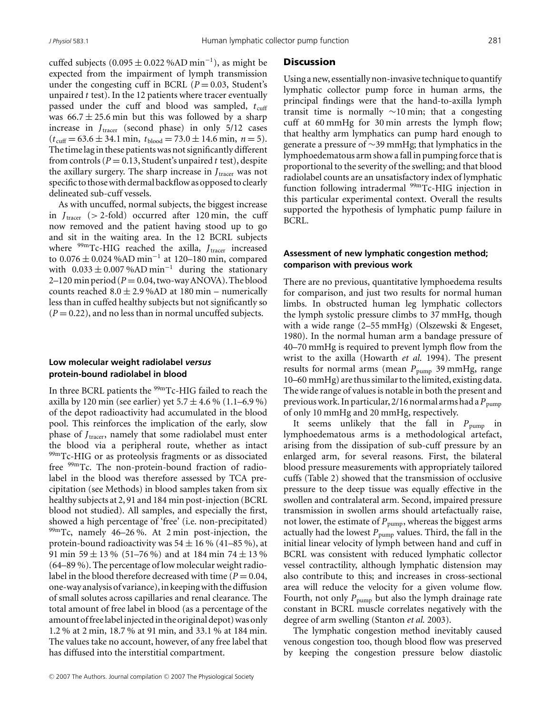cuffed subjects (0.095  $\pm$  0.022 %AD min<sup>-1</sup>), as might be expected from the impairment of lymph transmission under the congesting cuff in BCRL ( $P = 0.03$ , Student's unpaired *t* test). In the 12 patients where tracer eventually passed under the cuff and blood was sampled,  $t_{\text{cuff}}$ was  $66.7 \pm 25.6$  min but this was followed by a sharp increase in *J<sub>tracer</sub>* (second phase) in only 5/12 cases  $(t_{\text{cuff}} = 63.6 \pm 34.1 \text{ min}, t_{\text{blood}} = 73.0 \pm 14.6 \text{ min}, n = 5).$ The time lag in these patients was not significantly different from controls ( $P = 0.13$ , Student's unpaired t test), despite the axillary surgery. The sharp increase in *J*<sub>tracer</sub> was not specific to those with dermal backflow as opposed to clearly delineated sub-cuff vessels.

As with uncuffed, normal subjects, the biggest increase in  $J_{\text{tracer}}$  (> 2-fold) occurred after 120 min, the cuff now removed and the patient having stood up to go and sit in the waiting area. In the 12 BCRL subjects where <sup>99m</sup>Tc-HIG reached the axilla, *J<sub>tracer</sub>* increased to  $0.076 \pm 0.024$  %AD min<sup>-1</sup> at 120–180 min, compared with  $0.033 \pm 0.007$ %AD min<sup>-1</sup> during the stationary  $2-120$  min period ( $P = 0.04$ , two-way ANOVA). The blood counts reached  $8.0 \pm 2.9$  %AD at 180 min – numerically less than in cuffed healthy subjects but not significantly so  $(P = 0.22)$ , and no less than in normal uncuffed subjects.

# **Low molecular weight radiolabel** *versus* **protein-bound radiolabel in blood**

In three BCRL patients the 99mTc-HIG failed to reach the axilla by 120 min (see earlier) yet  $5.7 \pm 4.6\%$  (1.1–6.9%) of the depot radioactivity had accumulated in the blood pool. This reinforces the implication of the early, slow phase of *J*<sub>tracer</sub>, namely that some radiolabel must enter the blood via a peripheral route, whether as intact <sup>99m</sup>Tc-HIG or as proteolysis fragments or as dissociated free 99mTc. The non-protein-bound fraction of radiolabel in the blood was therefore assessed by TCA precipitation (see Methods) in blood samples taken from six healthy subjects at 2, 91 and 184 min post-injection (BCRL blood not studied). All samples, and especially the first, showed a high percentage of 'free' (i.e. non-precipitated) 99mTc, namely 46–26 %. At 2 min post-injection, the protein-bound radioactivity was  $54 \pm 16$  % (41–85 %), at 91 min 59  $\pm$  13 % (51–76 %) and at 184 min 74  $\pm$  13 % (64–89 %). The percentage of low molecular weight radiolabel in the blood therefore decreased with time ( $P = 0.04$ , one-way analysis of variance), in keeping with the diffusion of small solutes across capillaries and renal clearance. The total amount of free label in blood (as a percentage of the amount of free label injected in the original depot) was only 1.2 % at 2 min, 18.7 % at 91 min, and 33.1 % at 184 min. The values take no account, however, of any free label that has diffused into the interstitial compartment.

#### **Discussion**

Using a new, essentially non-invasive technique to quantify lymphatic collector pump force in human arms, the principal findings were that the hand-to-axilla lymph transit time is normally ∼10 min; that a congesting cuff at 60 mmHg for 30 min arrests the lymph flow; that healthy arm lymphatics can pump hard enough to generate a pressure of ∼39 mmHg; that lymphatics in the lymphoedematous arm show a fall in pumping force that is proportional to the severity of the swelling; and that blood radiolabel counts are an unsatisfactory index of lymphatic function following intradermal <sup>99m</sup>Tc-HIG injection in this particular experimental context. Overall the results supported the hypothesis of lymphatic pump failure in BCRL.

## **Assessment of new lymphatic congestion method; comparison with previous work**

There are no previous, quantitative lymphoedema results for comparison, and just two results for normal human limbs. In obstructed human leg lymphatic collectors the lymph systolic pressure climbs to 37 mmHg, though with a wide range (2–55 mmHg) (Olszewski & Engeset, 1980). In the normal human arm a bandage pressure of 40–70 mmHg is required to prevent lymph flow from the wrist to the axilla (Howarth *et al.* 1994). The present results for normal arms (mean  $P_{\text{pump}}$  39 mmHg, range 10–60 mmHg) are thus similar to the limited, existing data. The wide range of values is notable in both the present and previous work. In particular,  $2/16$  normal arms had a  $P_{\text{pump}}$ of only 10 mmHg and 20 mmHg, respectively.

It seems unlikely that the fall in  $P_{\text{pump}}$  in lymphoedematous arms is a methodological artefact, arising from the dissipation of sub-cuff pressure by an enlarged arm, for several reasons. First, the bilateral blood pressure measurements with appropriately tailored cuffs (Table 2) showed that the transmission of occlusive pressure to the deep tissue was equally effective in the swollen and contralateral arm. Second, impaired pressure transmission in swollen arms should artefactually raise, not lower, the estimate of  $P_{\text{pump}}$ , whereas the biggest arms actually had the lowest  $P_{\text{pump}}$  values. Third, the fall in the initial linear velocity of lymph between hand and cuff in BCRL was consistent with reduced lymphatic collector vessel contractility, although lymphatic distension may also contribute to this; and increases in cross-sectional area will reduce the velocity for a given volume flow. Fourth, not only  $P_{\text{pump}}$  but also the lymph drainage rate constant in BCRL muscle correlates negatively with the degree of arm swelling (Stanton *et al.* 2003).

The lymphatic congestion method inevitably caused venous congestion too, though blood flow was preserved by keeping the congestion pressure below diastolic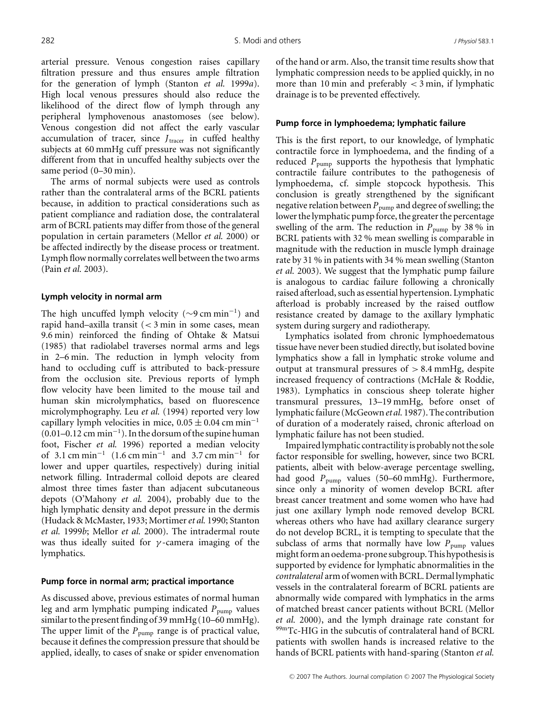arterial pressure. Venous congestion raises capillary filtration pressure and thus ensures ample filtration for the generation of lymph (Stanton *et al.* 1999*a*). High local venous pressures should also reduce the likelihood of the direct flow of lymph through any peripheral lymphovenous anastomoses (see below). Venous congestion did not affect the early vascular accumulation of tracer, since *J*<sub>tracer</sub> in cuffed healthy subjects at 60 mmHg cuff pressure was not significantly different from that in uncuffed healthy subjects over the same period (0–30 min).

The arms of normal subjects were used as controls rather than the contralateral arms of the BCRL patients because, in addition to practical considerations such as patient compliance and radiation dose, the contralateral arm of BCRL patients may differ from those of the general population in certain parameters (Mellor *et al.* 2000) or be affected indirectly by the disease process or treatment. Lymph flow normally correlates well between the two arms (Pain *et al.* 2003).

#### **Lymph velocity in normal arm**

The high uncuffed lymph velocity ( $\sim$ 9 cm min<sup>-1</sup>) and rapid hand–axilla transit (< 3 min in some cases, mean 9.6 min) reinforced the finding of Ohtake & Matsui (1985) that radiolabel traverses normal arms and legs in 2–6 min. The reduction in lymph velocity from hand to occluding cuff is attributed to back-pressure from the occlusion site. Previous reports of lymph flow velocity have been limited to the mouse tail and human skin microlymphatics, based on fluorescence microlymphography. Leu *et al.* (1994) reported very low capillary lymph velocities in mice,  $0.05 \pm 0.04$  cm min<sup>-1</sup>  $(0.01-0.12 \text{ cm min}^{-1})$ . In the dorsum of the supine human foot, Fischer *et al.* 1996) reported a median velocity of 3.1 cm min<sup>-1</sup> (1.6 cm min<sup>-1</sup> and 3.7 cm min<sup>-1</sup> for lower and upper quartiles, respectively) during initial network filling. Intradermal colloid depots are cleared almost three times faster than adjacent subcutaneous depots (O'Mahony *et al.* 2004), probably due to the high lymphatic density and depot pressure in the dermis (Hudack & McMaster, 1933; Mortimer*et al.* 1990; Stanton *et al.* 1999*b*; Mellor *et al.* 2000). The intradermal route was thus ideally suited for  $\gamma$ -camera imaging of the lymphatics.

#### **Pump force in normal arm; practical importance**

As discussed above, previous estimates of normal human leg and arm lymphatic pumping indicated  $P_{\text{pump}}$  values similar to the present finding of 39 mmHg (10–60 mmHg). The upper limit of the *P*<sub>pump</sub> range is of practical value, because it defines the compression pressure that should be applied, ideally, to cases of snake or spider envenomation of the hand or arm. Also, the transit time results show that lymphatic compression needs to be applied quickly, in no more than 10 min and preferably  $<$  3 min, if lymphatic drainage is to be prevented effectively.

#### **Pump force in lymphoedema; lymphatic failure**

This is the first report, to our knowledge, of lymphatic contractile force in lymphoedema, and the finding of a reduced  $P_{\text{pump}}$  supports the hypothesis that lymphatic contractile failure contributes to the pathogenesis of lymphoedema, cf. simple stopcock hypothesis. This conclusion is greatly strengthened by the significant negative relation between  $P_{\text{pump}}$  and degree of swelling; the lower the lymphatic pump force, the greater the percentage swelling of the arm. The reduction in  $P_{\text{pump}}$  by 38 % in BCRL patients with 32 % mean swelling is comparable in magnitude with the reduction in muscle lymph drainage rate by 31 % in patients with 34 % mean swelling (Stanton *et al.* 2003). We suggest that the lymphatic pump failure is analogous to cardiac failure following a chronically raised afterload, such as essential hypertension. Lymphatic afterload is probably increased by the raised outflow resistance created by damage to the axillary lymphatic system during surgery and radiotherapy.

Lymphatics isolated from chronic lymphoedematous tissue have never been studied directly, but isolated bovine lymphatics show a fall in lymphatic stroke volume and output at transmural pressures of  $> 8.4$  mmHg, despite increased frequency of contractions (McHale & Roddie, 1983). Lymphatics in conscious sheep tolerate higher transmural pressures, 13–19 mmHg, before onset of lymphatic failure (McGeown*et al.* 1987). The contribution of duration of a moderately raised, chronic afterload on lymphatic failure has not been studied.

Impaired lymphatic contractility is probably not the sole factor responsible for swelling, however, since two BCRL patients, albeit with below-average percentage swelling, had good *P*<sub>pump</sub> values (50–60 mmHg). Furthermore, since only a minority of women develop BCRL after breast cancer treatment and some women who have had just one axillary lymph node removed develop BCRL whereas others who have had axillary clearance surgery do not develop BCRL, it is tempting to speculate that the subclass of arms that normally have low  $P_{\text{pump}}$  values might form an oedema-prone subgroup. This hypothesis is supported by evidence for lymphatic abnormalities in the *contralateral* arm of women with BCRL. Dermal lymphatic vessels in the contralateral forearm of BCRL patients are abnormally wide compared with lymphatics in the arms of matched breast cancer patients without BCRL (Mellor *et al.* 2000), and the lymph drainage rate constant for 99mTc-HIG in the subcutis of contralateral hand of BCRL patients with swollen hands is increased relative to the hands of BCRL patients with hand-sparing (Stanton *et al.*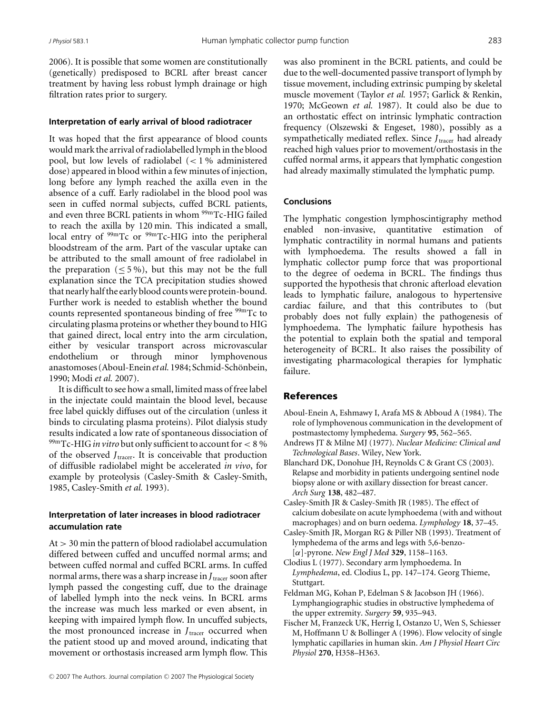2006). It is possible that some women are constitutionally (genetically) predisposed to BCRL after breast cancer treatment by having less robust lymph drainage or high filtration rates prior to surgery.

## **Interpretation of early arrival of blood radiotracer**

It was hoped that the first appearance of blood counts would mark the arrival of radiolabelled lymph in the blood pool, but low levels of radiolabel (< 1 % administered dose) appeared in blood within a few minutes of injection, long before any lymph reached the axilla even in the absence of a cuff. Early radiolabel in the blood pool was seen in cuffed normal subjects, cuffed BCRL patients, and even three BCRL patients in whom <sup>99m</sup>Tc-HIG failed to reach the axilla by 120 min. This indicated a small, local entry of <sup>99m</sup>Tc or <sup>99m</sup>Tc-HIG into the peripheral bloodstream of the arm. Part of the vascular uptake can be attributed to the small amount of free radiolabel in the preparation ( $\leq$  5%), but this may not be the full explanation since the TCA precipitation studies showed that nearly half the early blood counts were protein-bound. Further work is needed to establish whether the bound counts represented spontaneous binding of free <sup>99m</sup>Tc to circulating plasma proteins or whether they bound to HIG that gained direct, local entry into the arm circulation, either by vesicular transport across microvascular endothelium or through minor lymphovenous anastomoses (Aboul-Enein et al. 1984; Schmid-Schönbein, 1990; Modi *et al.* 2007).

It is difficult to see how a small, limited mass of free label in the injectate could maintain the blood level, because free label quickly diffuses out of the circulation (unless it binds to circulating plasma proteins). Pilot dialysis study results indicated a low rate of spontaneous dissociation of 99mTc-HIG *in vitro* but only sufficient to account for< 8 % of the observed *J*<sub>tracer</sub>. It is conceivable that production of diffusible radiolabel might be accelerated *in vivo*, for example by proteolysis (Casley-Smith & Casley-Smith, 1985, Casley-Smith *et al.* 1993).

# **Interpretation of later increases in blood radiotracer accumulation rate**

 $At > 30$  min the pattern of blood radiolabel accumulation differed between cuffed and uncuffed normal arms; and between cuffed normal and cuffed BCRL arms. In cuffed normal arms, there was a sharp increase in *J*<sub>tracer</sub> soon after lymph passed the congesting cuff, due to the drainage of labelled lymph into the neck veins. In BCRL arms the increase was much less marked or even absent, in keeping with impaired lymph flow. In uncuffed subjects, the most pronounced increase in *J*<sub>tracer</sub> occurred when the patient stood up and moved around, indicating that movement or orthostasis increased arm lymph flow. This was also prominent in the BCRL patients, and could be due to the well-documented passive transport of lymph by tissue movement, including extrinsic pumping by skeletal muscle movement (Taylor *et al.* 1957; Garlick & Renkin, 1970; McGeown *et al.* 1987). It could also be due to an orthostatic effect on intrinsic lymphatic contraction frequency (Olszewski & Engeset, 1980), possibly as a sympathetically mediated reflex. Since *J*<sub>tracer</sub> had already reached high values prior to movement/orthostasis in the cuffed normal arms, it appears that lymphatic congestion had already maximally stimulated the lymphatic pump.

## **Conclusions**

The lymphatic congestion lymphoscintigraphy method enabled non-invasive, quantitative estimation of lymphatic contractility in normal humans and patients with lymphoedema. The results showed a fall in lymphatic collector pump force that was proportional to the degree of oedema in BCRL. The findings thus supported the hypothesis that chronic afterload elevation leads to lymphatic failure, analogous to hypertensive cardiac failure, and that this contributes to (but probably does not fully explain) the pathogenesis of lymphoedema. The lymphatic failure hypothesis has the potential to explain both the spatial and temporal heterogeneity of BCRL. It also raises the possibility of investigating pharmacological therapies for lymphatic failure.

# References

- Aboul-Enein A, Eshmawy I, Arafa MS & Abboud A (1984). The role of lymphovenous communication in the development of postmastectomy lymphedema. *Surgery* **95**, 562–565.
- Andrews JT & Milne MJ (1977). *Nuclear Medicine: Clinical and Technological Bases*. Wiley, New York.
- Blanchard DK, Donohue JH, Reynolds C & Grant CS (2003). Relapse and morbidity in patients undergoing sentinel node biopsy alone or with axillary dissection for breast cancer. *Arch Surg* **138**, 482–487.
- Casley-Smith JR & Casley-Smith JR (1985). The effect of calcium dobesilate on acute lymphoedema (with and without macrophages) and on burn oedema. *Lymphology* **18**, 37–45.
- Casley-Smith JR, Morgan RG & Piller NB (1993). Treatment of lymphedema of the arms and legs with 5,6-benzo- [α]-pyrone. *New Engl J Med* **329**, 1158–1163.
- Clodius L (1977). Secondary arm lymphoedema. In *Lymphedema*, ed. Clodius L, pp. 147–174. Georg Thieme, Stuttgart.
- Feldman MG, Kohan P, Edelman S & Jacobson JH (1966). Lymphangiographic studies in obstructive lymphedema of the upper extremity. *Surgery* **59**, 935–943.
- Fischer M, Franzeck UK, Herrig I, Ostanzo U, Wen S, Schiesser M, Hoffmann U & Bollinger A (1996). Flow velocity of single lymphatic capillaries in human skin. *Am J Physiol Heart Circ Physiol* **270**, H358–H363.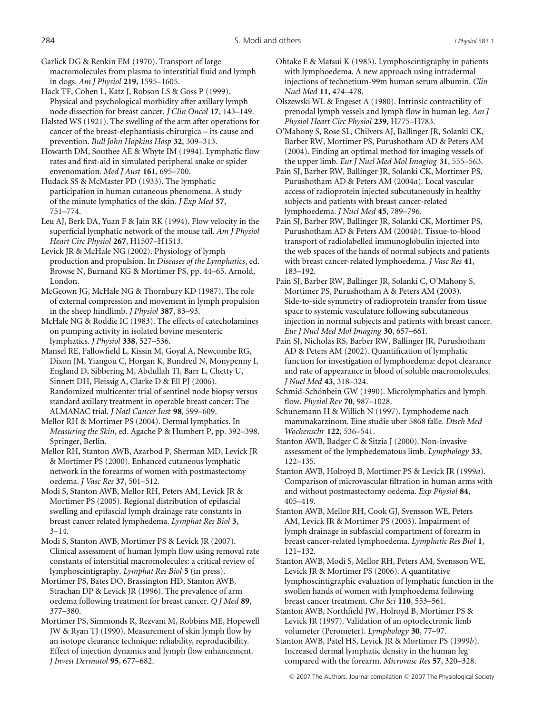Garlick DG & Renkin EM (1970). Transport of large macromolecules from plasma to interstitial fluid and lymph in dogs. *Am J Physiol* **219**, 1595–1605.

Hack TF, Cohen L, Katz J, Robson LS & Goss P (1999). Physical and psychological morbidity after axillary lymph node dissection for breast cancer. *J Clin Oncol* **17**, 143–149.

Halsted WS (1921). The swelling of the arm after operations for cancer of the breast-elephantiasis chirurgica – its cause and prevention. *Bull John Hopkins Hosp* **32**, 309–313.

Howarth DM, Southee AE & Whyte IM (1994). Lymphatic flow rates and first-aid in simulated peripheral snake or spider envenomation. *Med J Aust* **161**, 695–700.

Hudack SS & McMaster PD (1933). The lymphatic participation in human cutaneous phenomena. A study of the minute lymphatics of the skin. *J Exp Med* **57**, 751–774.

Leu AJ, Berk DA, Yuan F & Jain RK (1994). Flow velocity in the superficial lymphatic network of the mouse tail. *Am J Physiol Heart Circ Physiol* **267**, H1507–H1513.

Levick JR & McHale NG (2002). Physiology of lymph production and propulsion. In *Diseases of the Lymphatics*, ed. Browse N, Burnand KG & Mortimer PS, pp. 44–65. Arnold, London.

McGeown JG, McHale NG & Thornbury KD (1987). The role of external compression and movement in lymph propulsion in the sheep hindlimb. *J Physiol* **387**, 83–93.

McHale NG & Roddie IC (1983). The effects of catecholamines on pumping activity in isolated bovine mesenteric lymphatics. *J Physiol* **338**, 527–536.

Mansel RE, Fallowfield L, Kissin M, Goyal A, Newcombe RG, Dixon JM, Yiangou C, Horgan K, Bundred N, Monypenny I, England D, Sibbering M, Abdullah TI, Barr L, Chetty U, Sinnett DH, Fleissig A, Clarke D & Ell PJ (2006). Randomized multicenter trial of sentinel node biopsy versus standard axillary treatment in operable breast cancer: The ALMANAC trial. *J Natl Cancer Inst* **98**, 599–609.

Mellor RH & Mortimer PS (2004). Dermal lymphatics. In *Measuring the Skin*, ed. Agache P & Humbert P, pp. 392–398. Springer, Berlin.

Mellor RH, Stanton AWB, Azarbod P, Sherman MD, Levick JR & Mortimer PS (2000). Enhanced cutaneous lymphatic network in the forearms of women with postmastectomy oedema. *J Vasc Res* **37**, 501–512.

Modi S, Stanton AWB, Mellor RH, Peters AM, Levick JR & Mortimer PS (2005). Regional distribution of epifascial swelling and epifascial lymph drainage rate constants in breast cancer related lymphedema. *Lymphat Res Biol* **3**, 3–14.

Modi S, Stanton AWB, Mortimer PS & Levick JR (2007). Clinical assessment of human lymph flow using removal rate constants of interstitial macromolecules: a critical review of lymphoscintigraphy. *Lymphat Res Biol* **5** (in press).

Mortimer PS, Bates DO, Brassington HD, Stanton AWB, Strachan DP & Levick JR (1996). The prevalence of arm oedema following treatment for breast cancer. *Q J Med* **89**, 377–380.

Mortimer PS, Simmonds R, Rezvani M, Robbins ME, Hopewell JW & Ryan TJ (1990). Measurement of skin lymph flow by an isotope clearance technique: reliability, reproducibility. Effect of injection dynamics and lymph flow enhancement. *J Invest Dermatol* **95**, 677–682.

Ohtake E & Matsui K (1985). Lymphoscintigraphy in patients with lymphoedema. A new approach using intradermal injections of technetium-99m human serum albumin. *Clin Nucl Med* **11**, 474–478.

Olszewski WL & Engeset A (1980). Intrinsic contractility of prenodal lymph vessels and lymph flow in human leg. *Am J Physiol Heart Circ Physiol* **239**, H775–H783.

O'Mahony S, Rose SL, Chilvers AJ, Ballinger JR, Solanki CK, Barber RW, Mortimer PS, Purushotham AD & Peters AM (2004). Finding an optimal method for imaging vessels of the upper limb. *Eur J Nucl Med Mol Imaging* **31**, 555–563.

Pain SJ, Barber RW, Ballinger JR, Solanki CK, Mortimer PS, Purushotham AD & Peters AM (2004*a*). Local vascular access of radioprotein injected subcutaneously in healthy subjects and patients with breast cancer-related lymphoedema. *J Nucl Med* **45**, 789–796.

Pain SJ, Barber RW, Ballinger JR, Solanki CK, Mortimer PS, Purushotham AD & Peters AM (2004*b*). Tissue-to-blood transport of radiolabelled immunoglobulin injected into the web spaces of the hands of normal subjects and patients with breast cancer-related lymphoedema. *J Vasc Res* **41**, 183–192.

Pain SJ, Barber RW, Ballinger JR, Solanki C, O'Mahony S, Mortimer PS, Purushotham A & Peters AM (2003). Side-to-side symmetry of radioprotein transfer from tissue space to systemic vasculature following subcutaneous injection in normal subjects and patients with breast cancer. *Eur J Nucl Med Mol Imaging* **30**, 657–661.

Pain SJ, Nicholas RS, Barber RW, Ballinger JR, Purushotham AD & Peters AM (2002). Quantification of lymphatic function for investigation of lymphoedema: depot clearance and rate of appearance in blood of soluble macromolecules. *J Nucl Med* **43**, 318–324.

Schmid-Schönbein GW (1990). Microlymphatics and lymph flow. *Physiol Rev* **70**, 987–1028.

Schunemann H & Willich N (1997). Lymphodeme nach mammakarzinom. Eine studie uber 5868 falle. *Dtsch Med Wochenschr* **122**, 536–541.

Stanton AWB, Badger C & Sitzia J (2000). Non-invasive assessment of the lymphedematous limb. *Lymphology* **33**, 122–135.

Stanton AWB, Holroyd B, Mortimer PS & Levick JR (1999*a*). Comparison of microvascular filtration in human arms with and without postmastectomy oedema. *Exp Physiol* **84**, 405–419.

Stanton AWB, Mellor RH, Cook GJ, Svensson WE, Peters AM, Levick JR & Mortimer PS (2003). Impairment of lymph drainage in subfascial compartment of forearm in breast cancer-related lymphoedema. *Lymphatic Res Biol* **1**, 121–132.

Stanton AWB, Modi S, Mellor RH, Peters AM, Svensson WE, Levick JR & Mortimer PS (2006). A quantitative lymphoscintigraphic evaluation of lymphatic function in the swollen hands of women with lymphoedema following breast cancer treatment. *Clin Sci* **110**, 553–561.

Stanton AWB, Northfield JW, Holroyd B, Mortimer PS & Levick JR (1997). Validation of an optoelectronic limb volumeter (Perometer). *Lymphology* **30**, 77–97.

Stanton AWB, Patel HS, Levick JR & Mortimer PS (1999*b*). Increased dermal lymphatic density in the human leg compared with the forearm. *Microvasc Res* **57**, 320–328.